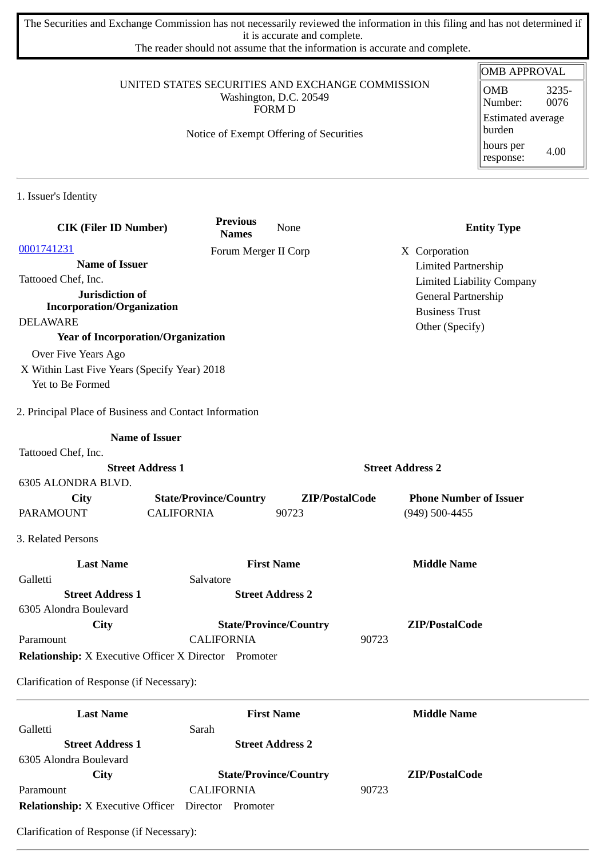The Securities and Exchange Commission has not necessarily reviewed the information in this filing and has not determined if it is accurate and complete.

The reader should not assume that the information is accurate and complete.

#### UNITED STATES SECURITIES AND EXCHANGE COMMISSION Washington, D.C. 20549 FORM D

#### Notice of Exempt Offering of Securities

#### OMB APPROVAL OMB Number: 3235- 0076 Estimated average burden hours per response: 4.00

1. Issuer's Identity

| <b>CIK (Filer ID Number)</b>                                 | <b>Previous</b><br><b>Names</b> | None                          |                         | <b>Entity Type</b>               |
|--------------------------------------------------------------|---------------------------------|-------------------------------|-------------------------|----------------------------------|
| 0001741231                                                   |                                 | Forum Merger II Corp          |                         | X Corporation                    |
| <b>Name of Issuer</b>                                        |                                 |                               |                         | <b>Limited Partnership</b>       |
| Tattooed Chef, Inc.                                          |                                 |                               |                         | <b>Limited Liability Company</b> |
| Jurisdiction of                                              |                                 |                               |                         | General Partnership              |
| <b>Incorporation/Organization</b>                            |                                 |                               |                         | <b>Business Trust</b>            |
| <b>DELAWARE</b>                                              |                                 |                               |                         | Other (Specify)                  |
| <b>Year of Incorporation/Organization</b>                    |                                 |                               |                         |                                  |
| Over Five Years Ago                                          |                                 |                               |                         |                                  |
| X Within Last Five Years (Specify Year) 2018                 |                                 |                               |                         |                                  |
| Yet to Be Formed                                             |                                 |                               |                         |                                  |
| 2. Principal Place of Business and Contact Information       |                                 |                               |                         |                                  |
| <b>Name of Issuer</b>                                        |                                 |                               |                         |                                  |
| Tattooed Chef, Inc.                                          |                                 |                               |                         |                                  |
| <b>Street Address 1</b>                                      |                                 |                               | <b>Street Address 2</b> |                                  |
| 6305 ALONDRA BLVD.                                           |                                 |                               |                         |                                  |
| City                                                         | <b>State/Province/Country</b>   | ZIP/PostalCode                |                         | <b>Phone Number of Issuer</b>    |
| <b>PARAMOUNT</b>                                             | <b>CALIFORNIA</b>               | 90723                         |                         | (949) 500-4455                   |
| 3. Related Persons                                           |                                 |                               |                         |                                  |
| <b>Last Name</b>                                             |                                 | <b>First Name</b>             |                         | <b>Middle Name</b>               |
| Galletti                                                     | Salvatore                       |                               |                         |                                  |
| <b>Street Address 1</b>                                      |                                 | <b>Street Address 2</b>       |                         |                                  |
| 6305 Alondra Boulevard                                       |                                 |                               |                         |                                  |
| City                                                         |                                 | <b>State/Province/Country</b> |                         | ZIP/PostalCode                   |
| Paramount                                                    | <b>CALIFORNIA</b>               |                               | 90723                   |                                  |
| <b>Relationship:</b> X Executive Officer X Director Promoter |                                 |                               |                         |                                  |
| Clarification of Response (if Necessary):                    |                                 |                               |                         |                                  |
| <b>Last Name</b>                                             |                                 | <b>First Name</b>             |                         | <b>Middle Name</b>               |
| Galletti                                                     | Sarah                           |                               |                         |                                  |
| <b>Street Address 1</b>                                      |                                 | <b>Street Address 2</b>       |                         |                                  |
| 6305 Alondra Boulevard                                       |                                 |                               |                         |                                  |
| City                                                         |                                 | <b>State/Province/Country</b> |                         | ZIP/PostalCode                   |
| Paramount                                                    | <b>CALIFORNIA</b>               |                               | 90723                   |                                  |
| <b>Relationship:</b> X Executive Officer Director Promoter   |                                 |                               |                         |                                  |

Clarification of Response (if Necessary):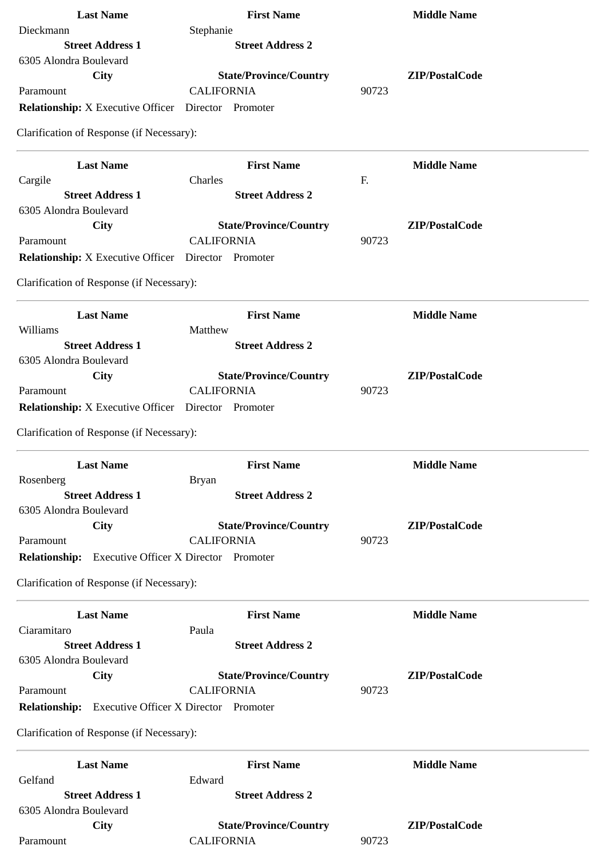| <b>Last Name</b>                                           | <b>First Name</b>                                  | <b>Middle Name</b>      |
|------------------------------------------------------------|----------------------------------------------------|-------------------------|
| Dieckmann                                                  | Stephanie                                          |                         |
| <b>Street Address 1</b>                                    | <b>Street Address 2</b>                            |                         |
| 6305 Alondra Boulevard                                     |                                                    |                         |
| <b>City</b>                                                | <b>State/Province/Country</b>                      | ZIP/PostalCode          |
| Paramount                                                  | <b>CALIFORNIA</b>                                  | 90723                   |
| <b>Relationship:</b> X Executive Officer Director Promoter |                                                    |                         |
| Clarification of Response (if Necessary):                  |                                                    |                         |
| <b>Last Name</b>                                           | <b>First Name</b>                                  | <b>Middle Name</b>      |
| Cargile                                                    | Charles                                            | F.                      |
| <b>Street Address 1</b>                                    | <b>Street Address 2</b>                            |                         |
| 6305 Alondra Boulevard                                     |                                                    |                         |
| City                                                       | <b>State/Province/Country</b><br><b>CALIFORNIA</b> | ZIP/PostalCode<br>90723 |
| Paramount                                                  |                                                    |                         |
| <b>Relationship:</b> X Executive Officer Director Promoter |                                                    |                         |
| Clarification of Response (if Necessary):                  |                                                    |                         |
| <b>Last Name</b>                                           | <b>First Name</b>                                  | <b>Middle Name</b>      |
| Williams                                                   | Matthew                                            |                         |
| <b>Street Address 1</b>                                    | <b>Street Address 2</b>                            |                         |
| 6305 Alondra Boulevard                                     |                                                    |                         |
| City                                                       | <b>State/Province/Country</b>                      | ZIP/PostalCode          |
| Paramount                                                  | <b>CALIFORNIA</b>                                  | 90723                   |
| <b>Relationship:</b> X Executive Officer Director Promoter |                                                    |                         |
| Clarification of Response (if Necessary):                  |                                                    |                         |
| <b>Last Name</b>                                           | <b>First Name</b>                                  | <b>Middle Name</b>      |
| Rosenberg                                                  | <b>Bryan</b>                                       |                         |
| <b>Street Address 1</b>                                    | <b>Street Address 2</b>                            |                         |
| 6305 Alondra Boulevard                                     |                                                    |                         |
| City                                                       | <b>State/Province/Country</b>                      | ZIP/PostalCode          |
| Paramount                                                  | <b>CALIFORNIA</b>                                  | 90723                   |
| <b>Relationship:</b>                                       | <b>Executive Officer X Director Promoter</b>       |                         |
| Clarification of Response (if Necessary):                  |                                                    |                         |
| <b>Last Name</b>                                           | <b>First Name</b>                                  | <b>Middle Name</b>      |
| Ciaramitaro                                                | Paula                                              |                         |
| <b>Street Address 1</b>                                    | <b>Street Address 2</b>                            |                         |
| 6305 Alondra Boulevard                                     |                                                    |                         |
| City                                                       | <b>State/Province/Country</b>                      | ZIP/PostalCode          |
| Paramount                                                  | <b>CALIFORNIA</b>                                  | 90723                   |
| <b>Relationship:</b>                                       | <b>Executive Officer X Director Promoter</b>       |                         |
| Clarification of Response (if Necessary):                  |                                                    |                         |
| <b>Last Name</b>                                           | <b>First Name</b>                                  | <b>Middle Name</b>      |
| Gelfand                                                    | Edward                                             |                         |
| <b>Street Address 1</b>                                    | <b>Street Address 2</b>                            |                         |
| 6305 Alondra Boulevard                                     |                                                    |                         |
| <b>City</b>                                                | <b>State/Province/Country</b>                      | ZIP/PostalCode          |
| Paramount                                                  | <b>CALIFORNIA</b>                                  | 90723                   |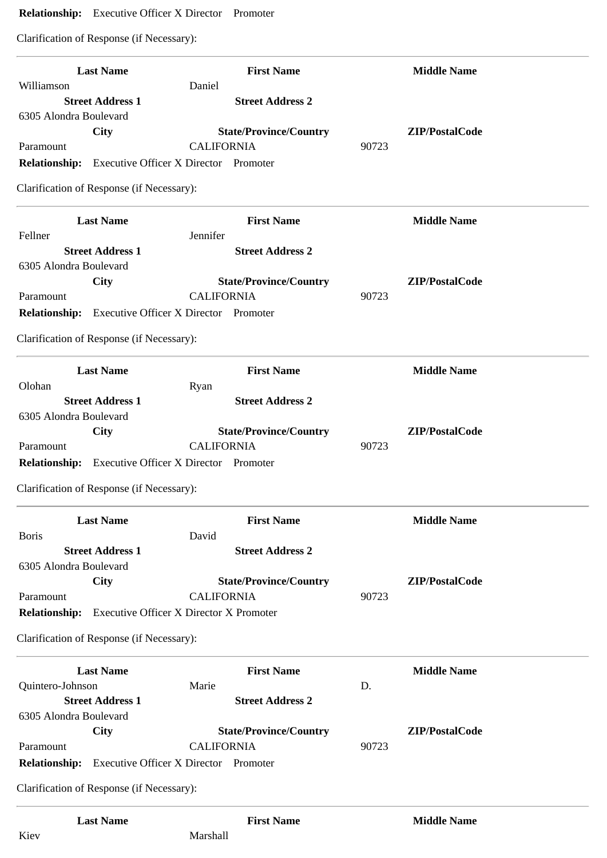# **Relationship:** Executive Officer X Director Promoter

Clarification of Response (if Necessary):

| <b>Last Name</b>                                           | <b>First Name</b>                                  | <b>Middle Name</b>      |
|------------------------------------------------------------|----------------------------------------------------|-------------------------|
| Williamson                                                 | Daniel                                             |                         |
| <b>Street Address 1</b>                                    | <b>Street Address 2</b>                            |                         |
| 6305 Alondra Boulevard                                     |                                                    |                         |
| City<br>Paramount                                          | <b>State/Province/Country</b><br><b>CALIFORNIA</b> | ZIP/PostalCode<br>90723 |
| <b>Relationship:</b> Executive Officer X Director Promoter |                                                    |                         |
|                                                            |                                                    |                         |
| Clarification of Response (if Necessary):                  |                                                    |                         |
| <b>Last Name</b>                                           | <b>First Name</b>                                  | <b>Middle Name</b>      |
| Fellner<br><b>Street Address 1</b>                         | Jennifer<br><b>Street Address 2</b>                |                         |
| 6305 Alondra Boulevard                                     |                                                    |                         |
| City                                                       | <b>State/Province/Country</b>                      | ZIP/PostalCode          |
| Paramount                                                  | <b>CALIFORNIA</b>                                  | 90723                   |
| Relationship: Executive Officer X Director Promoter        |                                                    |                         |
| Clarification of Response (if Necessary):                  |                                                    |                         |
|                                                            |                                                    |                         |
| <b>Last Name</b><br>Olohan                                 | <b>First Name</b><br>Ryan                          | <b>Middle Name</b>      |
| <b>Street Address 1</b>                                    | <b>Street Address 2</b>                            |                         |
| 6305 Alondra Boulevard                                     |                                                    |                         |
| <b>City</b>                                                | <b>State/Province/Country</b>                      | ZIP/PostalCode          |
| Paramount                                                  | <b>CALIFORNIA</b>                                  | 90723                   |
| <b>Relationship:</b> Executive Officer X Director Promoter |                                                    |                         |
| Clarification of Response (if Necessary):                  |                                                    |                         |
| <b>Last Name</b>                                           | <b>First Name</b>                                  | <b>Middle Name</b>      |
| <b>Boris</b>                                               | David                                              |                         |
| <b>Street Address 1</b>                                    | <b>Street Address 2</b>                            |                         |
| 6305 Alondra Boulevard                                     |                                                    |                         |
| <b>City</b>                                                | <b>State/Province/Country</b>                      | ZIP/PostalCode          |
| Paramount                                                  | <b>CALIFORNIA</b>                                  | 90723                   |
| <b>Relationship:</b>                                       | <b>Executive Officer X Director X Promoter</b>     |                         |
| Clarification of Response (if Necessary):                  |                                                    |                         |
| <b>Last Name</b>                                           | <b>First Name</b>                                  | <b>Middle Name</b>      |
| Quintero-Johnson                                           | Marie                                              | D.                      |
| <b>Street Address 1</b>                                    | <b>Street Address 2</b>                            |                         |
| 6305 Alondra Boulevard                                     |                                                    |                         |
| <b>City</b><br>Paramount                                   | <b>State/Province/Country</b><br><b>CALIFORNIA</b> | ZIP/PostalCode<br>90723 |
| <b>Relationship:</b>                                       | <b>Executive Officer X Director Promoter</b>       |                         |
| Clarification of Response (if Necessary):                  |                                                    |                         |
|                                                            |                                                    |                         |
| <b>Last Name</b>                                           | <b>First Name</b>                                  | <b>Middle Name</b>      |
| Kiev                                                       | Marshall                                           |                         |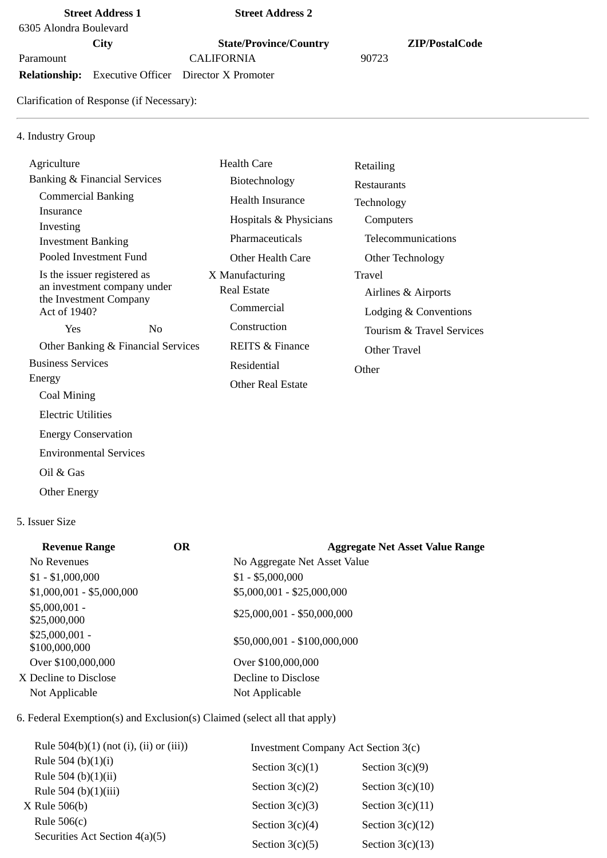### **Street Address 1 Street Address 2**

6305 Alondra Boulevard

Paramount CALIFORNIA 90723

**Relationship:** Executive Officer Director X Promoter

**City State/Province/Country ZIP/PostalCode**

Clarification of Response (if Necessary):

# 4. Industry Group

| Agriculture                            |    | <b>Health Care</b>         | Retailing                 |  |
|----------------------------------------|----|----------------------------|---------------------------|--|
| Banking & Financial Services           |    | Biotechnology              | Restaurants               |  |
| <b>Commercial Banking</b>              |    | Health Insurance           | Technology                |  |
| Insurance                              |    | Hospitals & Physicians     | Computers                 |  |
| Investing<br><b>Investment Banking</b> |    | Pharmaceuticals            | Telecommunications        |  |
| Pooled Investment Fund                 |    | Other Health Care          | Other Technology          |  |
| Is the issuer registered as            |    | X Manufacturing            | Travel                    |  |
| an investment company under            |    | <b>Real Estate</b>         | Airlines & Airports       |  |
| the Investment Company<br>Act of 1940? |    | Commercial                 | Lodging & Conventions     |  |
| Yes                                    | No | Construction               | Tourism & Travel Services |  |
| Other Banking & Financial Services     |    | <b>REITS &amp; Finance</b> | Other Travel              |  |
| <b>Business Services</b>               |    | Residential                | Other                     |  |
| Energy                                 |    | <b>Other Real Estate</b>   |                           |  |
| Coal Mining                            |    |                            |                           |  |
| <b>Electric Utilities</b>              |    |                            |                           |  |
| <b>Energy Conservation</b>             |    |                            |                           |  |
| <b>Environmental Services</b>          |    |                            |                           |  |

Oil & Gas

Other Energy

## 5. Issuer Size

| <b>Revenue Range</b>             | <b>OR</b> | <b>Aggregate Net Asset Value Range</b> |
|----------------------------------|-----------|----------------------------------------|
| No Revenues                      |           | No Aggregate Net Asset Value           |
| $$1 - $1,000,000$                |           | $$1 - $5,000,000$                      |
| $$1,000,001 - $5,000,000$        |           | \$5,000,001 - \$25,000,000             |
| $$5,000,001 -$<br>\$25,000,000   |           | $$25,000,001 - $50,000,000$            |
| $$25,000,001 -$<br>\$100,000,000 |           | \$50,000,001 - \$100,000,000           |
| Over \$100,000,000               |           | Over \$100,000,000                     |
| X Decline to Disclose            |           | Decline to Disclose                    |
| Not Applicable                   |           | Not Applicable                         |
|                                  |           |                                        |

# 6. Federal Exemption(s) and Exclusion(s) Claimed (select all that apply)

| Rule $504(b)(1)$ (not (i), (ii) or (iii)) | <b>Investment Company Act Section 3(c)</b> |                    |  |
|-------------------------------------------|--------------------------------------------|--------------------|--|
| Rule 504 (b) $(1)(i)$                     | Section $3(c)(1)$                          | Section $3(c)(9)$  |  |
| Rule 504 (b) $(1)(ii)$                    |                                            |                    |  |
| Rule 504 (b) $(1)(iii)$                   | Section $3(c)(2)$                          | Section $3(c)(10)$ |  |
| $X$ Rule 506(b)                           | Section $3(c)(3)$                          | Section $3(c)(11)$ |  |
| Rule $506(c)$                             | Section $3(c)(4)$                          | Section $3(c)(12)$ |  |
| Securities Act Section 4(a)(5)            | Section $3(c)(5)$                          | Section $3(c)(13)$ |  |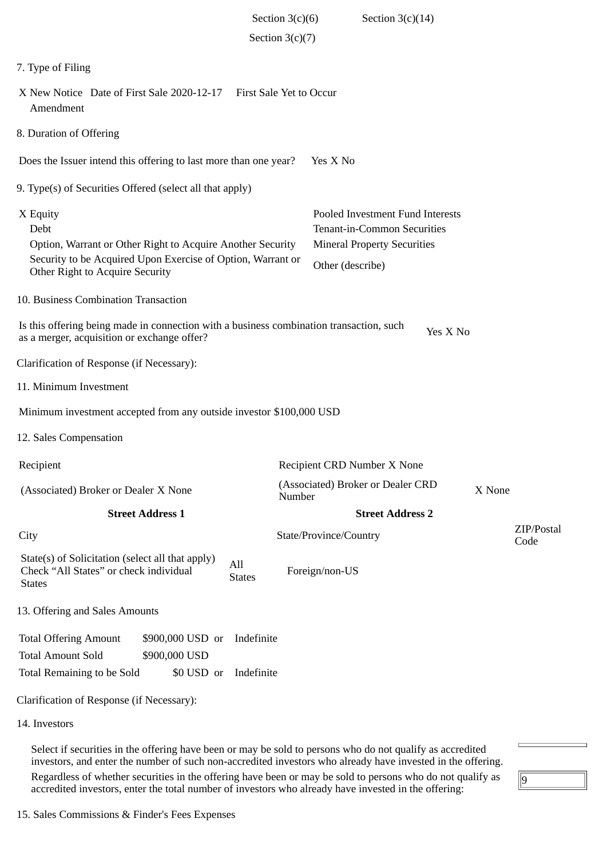|                                                                                                                                                                                  | Section $3(c)(6)$              | Section $3(c)(14)$                                                                                                               |                    |
|----------------------------------------------------------------------------------------------------------------------------------------------------------------------------------|--------------------------------|----------------------------------------------------------------------------------------------------------------------------------|--------------------|
|                                                                                                                                                                                  | Section $3(c)(7)$              |                                                                                                                                  |                    |
| 7. Type of Filing                                                                                                                                                                |                                |                                                                                                                                  |                    |
| X New Notice Date of First Sale 2020-12-17<br>Amendment                                                                                                                          | <b>First Sale Yet to Occur</b> |                                                                                                                                  |                    |
| 8. Duration of Offering                                                                                                                                                          |                                |                                                                                                                                  |                    |
| Does the Issuer intend this offering to last more than one year?                                                                                                                 |                                | Yes X No                                                                                                                         |                    |
| 9. Type(s) of Securities Offered (select all that apply)                                                                                                                         |                                |                                                                                                                                  |                    |
| X Equity<br>Debt<br>Option, Warrant or Other Right to Acquire Another Security<br>Security to be Acquired Upon Exercise of Option, Warrant or<br>Other Right to Acquire Security |                                | Pooled Investment Fund Interests<br><b>Tenant-in-Common Securities</b><br><b>Mineral Property Securities</b><br>Other (describe) |                    |
| 10. Business Combination Transaction                                                                                                                                             |                                |                                                                                                                                  |                    |
| Is this offering being made in connection with a business combination transaction, such<br>as a merger, acquisition or exchange offer?                                           |                                | Yes X No                                                                                                                         |                    |
| Clarification of Response (if Necessary):                                                                                                                                        |                                |                                                                                                                                  |                    |
| 11. Minimum Investment                                                                                                                                                           |                                |                                                                                                                                  |                    |
| Minimum investment accepted from any outside investor \$100,000 USD                                                                                                              |                                |                                                                                                                                  |                    |
| 12. Sales Compensation                                                                                                                                                           |                                |                                                                                                                                  |                    |
| Recipient                                                                                                                                                                        |                                | Recipient CRD Number X None                                                                                                      |                    |
| (Associated) Broker or Dealer X None                                                                                                                                             | Number                         | (Associated) Broker or Dealer CRD                                                                                                | X None             |
| <b>Street Address 1</b>                                                                                                                                                          |                                | <b>Street Address 2</b>                                                                                                          |                    |
| City                                                                                                                                                                             |                                | State/Province/Country                                                                                                           | ZIP/Postal<br>Code |
| State(s) of Solicitation (select all that apply)<br>All<br>Check "All States" or check individual<br><b>States</b>                                                               | <b>States</b>                  | Foreign/non-US                                                                                                                   |                    |
| 13. Offering and Sales Amounts                                                                                                                                                   |                                |                                                                                                                                  |                    |
| <b>Total Offering Amount</b><br>\$900,000 USD or<br><b>Total Amount Sold</b><br>\$900,000 USD<br>Total Remaining to be Sold<br>\$0 USD or                                        | Indefinite<br>Indefinite       |                                                                                                                                  |                    |
| Clarification of Response (if Necessary):                                                                                                                                        |                                |                                                                                                                                  |                    |
| 14. Investors                                                                                                                                                                    |                                |                                                                                                                                  |                    |
|                                                                                                                                                                                  |                                |                                                                                                                                  |                    |

Select if securities in the offering have been or may be sold to persons who do not qualify as accredited investors, and enter the number of such non-accredited investors who already have invested in the offering. Regardless of whether securities in the offering have been or may be sold to persons who do not qualify as accredited investors, enter the total number of investors who already have invested in the offering:

 $\sqrt{9}$